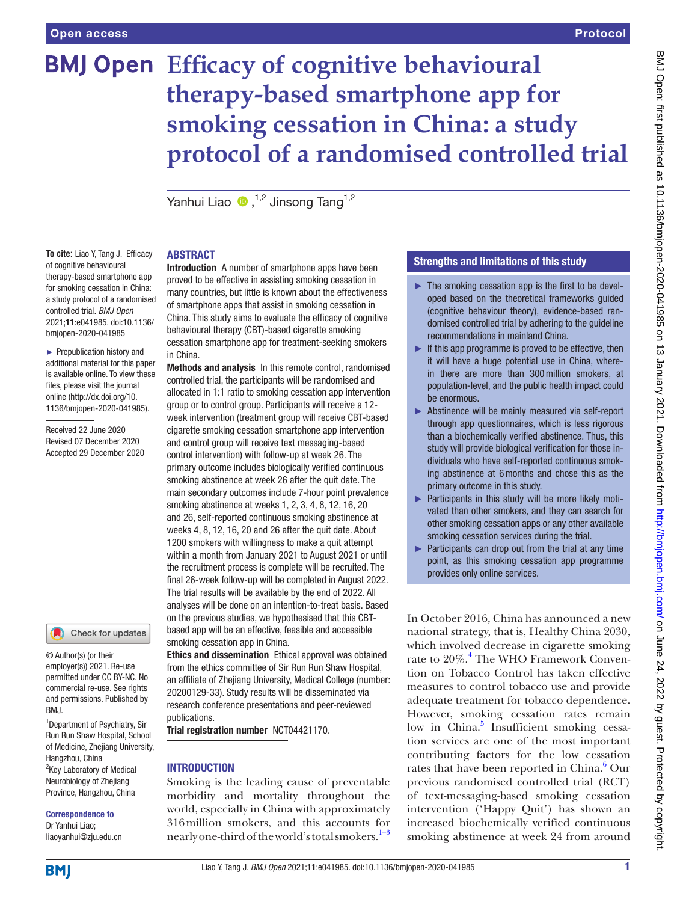**To cite:** Liao Y, Tang J. Efficacy of cognitive behavioural therapy-based smartphone app for smoking cessation in China: a study protocol of a randomised controlled trial. *BMJ Open* 2021;11:e041985. doi:10.1136/ bmjopen-2020-041985 ► Prepublication history and additional material for this paper is available online. To view these files, please visit the journal online (http://dx.doi.org/10. 1136/bmjopen-2020-041985).

Received 22 June 2020 Revised 07 December 2020 Accepted 29 December 2020

# **BMJ Open Efficacy of cognitive behavioural therapy-based smartphone app for smoking cessation in China: a study protocol of a randomised controlled trial**

Yanhui Liao  $\bullet$  .<sup>1,2</sup> Jinsong Tang<sup>1,2</sup>

# ABSTRACT

Introduction A number of smartphone apps have been proved to be effective in assisting smoking cessation in many countries, but little is known about the effectiveness of smartphone apps that assist in smoking cessation in China. This study aims to evaluate the efficacy of cognitive behavioural therapy (CBT)-based cigarette smoking cessation smartphone app for treatment-seeking smokers in China.

Methods and analysis In this remote control, randomised controlled trial, the participants will be randomised and allocated in 1:1 ratio to smoking cessation app intervention group or to control group. Participants will receive a 12 week intervention (treatment group will receive CBT-based cigarette smoking cessation smartphone app intervention and control group will receive text messaging-based control intervention) with follow-up at week 26. The primary outcome includes biologically verified continuous smoking abstinence at week 26 after the quit date. The main secondary outcomes include 7-hour point prevalence smoking abstinence at weeks 1, 2, 3, 4, 8, 12, 16, 20 and 26, self-reported continuous smoking abstinence at weeks 4, 8, 12, 16, 20 and 26 after the quit date. About 1200 smokers with willingness to make a quit attempt within a month from January 2021 to August 2021 or until the recruitment process is complete will be recruited. The final 26-week follow-up will be completed in August 2022. The trial results will be available by the end of 2022. All analyses will be done on an intention-to-treat basis. Based on the previous studies, we hypothesised that this CBTbased app will be an effective, feasible and accessible smoking cessation app in China.

Ethics and dissemination Ethical approval was obtained from the ethics committee of Sir Run Run Shaw Hospital, an affiliate of Zhejiang University, Medical College (number: 20200129-33). Study results will be disseminated via research conference presentations and peer-reviewed publications.

Trial registration number <NCT04421170>.

# **INTRODUCTION**

Smoking is the leading cause of preventable morbidity and mortality throughout the world, especially in China with approximately 316million smokers, and this accounts for nearly one-third of the world's total smokers.<sup>1-3</sup>

# Strengths and limitations of this study

- $\blacktriangleright$  The smoking cessation app is the first to be developed based on the theoretical frameworks guided (cognitive behaviour theory), evidence-based randomised controlled trial by adhering to the guideline recommendations in mainland China.
- $\blacktriangleright$  If this app programme is proved to be effective, then it will have a huge potential use in China, wherein there are more than 300million smokers, at population-level, and the public health impact could be enormous.
- ► Abstinence will be mainly measured via self-report through app questionnaires, which is less rigorous than a biochemically verified abstinence. Thus, this study will provide biological verification for those individuals who have self-reported continuous smoking abstinence at 6months and chose this as the primary outcome in this study.
- ▶ Participants in this study will be more likely motivated than other smokers, and they can search for other smoking cessation apps or any other available smoking cessation services during the trial.
- ► Participants can drop out from the trial at any time point, as this smoking cessation app programme provides only online services.

In October 2016, China has announced a new national strategy, that is, Healthy China 2030, which involved decrease in cigarette smoking rate to 20%.<sup>[4](#page-10-0)</sup> The WHO Framework Convention on Tobacco Control has taken effective measures to control tobacco use and provide adequate treatment for tobacco dependence. However, smoking cessation rates remain low in China.<sup>[5](#page-10-1)</sup> Insufficient smoking cessation services are one of the most important contributing factors for the low cessation rates that have been reported in China.<sup>[6](#page-10-2)</sup> Our previous randomised controlled trial (RCT) of text-messaging-based smoking cessation intervention ('Happy Quit') has shown an increased biochemically verified continuous smoking abstinence at week 24 from around

© Author(s) (or their employer(s)) 2021. Re-use

Check for updates

permitted under CC BY-NC. No commercial re-use. See rights and permissions. Published by RM<sub>J</sub>

<sup>1</sup> Department of Psychiatry, Sir Run Run Shaw Hospital, School of Medicine, Zhejiang University, Hangzhou, China <sup>2</sup>Key Laboratory of Medical Neurobiology of Zhejiang Province, Hangzhou, China

#### Correspondence to Dr Yanhui Liao; liaoyanhui@zju.edu.cn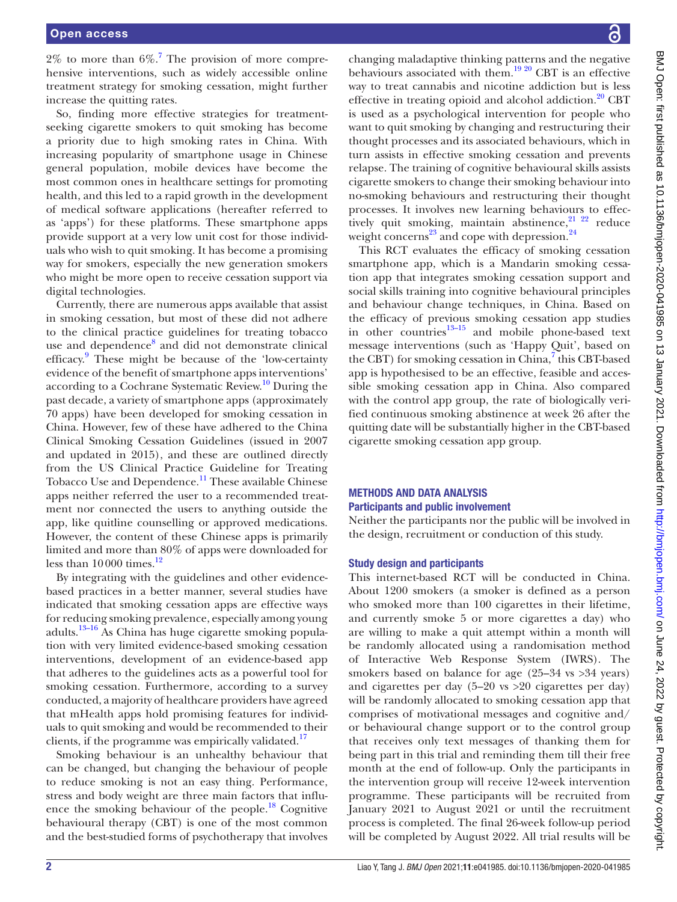$2\%$  to more than  $6\%$ .<sup>7</sup> The provision of more comprehensive interventions, such as widely accessible online treatment strategy for smoking cessation, might further increase the quitting rates.

So, finding more effective strategies for treatmentseeking cigarette smokers to quit smoking has become a priority due to high smoking rates in China. With increasing popularity of smartphone usage in Chinese general population, mobile devices have become the most common ones in healthcare settings for promoting health, and this led to a rapid growth in the development of medical software applications (hereafter referred to as 'apps') for these platforms. These smartphone apps provide support at a very low unit cost for those individuals who wish to quit smoking. It has become a promising way for smokers, especially the new generation smokers who might be more open to receive cessation support via digital technologies.

Currently, there are numerous apps available that assist in smoking cessation, but most of these did not adhere to the clinical practice guidelines for treating tobacco use and dependence<sup>8</sup> and did not demonstrate clinical efficacy.<sup>[9](#page-10-5)</sup> These might be because of the 'low-certainty evidence of the benefit of smartphone apps interventions' according to a Cochrane Systematic Review.<sup>10</sup> During the past decade, a variety of smartphone apps (approximately 70 apps) have been developed for smoking cessation in China. However, few of these have adhered to the China Clinical Smoking Cessation Guidelines (issued in 2007 and updated in 2015), and these are outlined directly from the US Clinical Practice Guideline for Treating Tobacco Use and Dependence.<sup>[11](#page-10-7)</sup> These available Chinese apps neither referred the user to a recommended treatment nor connected the users to anything outside the app, like quitline counselling or approved medications. However, the content of these Chinese apps is primarily limited and more than 80% of apps were downloaded for less than  $10000$  times.<sup>12</sup>

By integrating with the guidelines and other evidencebased practices in a better manner, several studies have indicated that smoking cessation apps are effective ways for reducing smoking prevalence, especially among young adults. $13-16$  As China has huge cigarette smoking population with very limited evidence-based smoking cessation interventions, development of an evidence-based app that adheres to the guidelines acts as a powerful tool for smoking cessation. Furthermore, according to a survey conducted, a majority of healthcare providers have agreed that mHealth apps hold promising features for individuals to quit smoking and would be recommended to their clients, if the programme was empirically validated.<sup>17</sup>

Smoking behaviour is an unhealthy behaviour that can be changed, but changing the behaviour of people to reduce smoking is not an easy thing. Performance, stress and body weight are three main factors that influence the smoking behaviour of the people. $^{18}$  Cognitive behavioural therapy (CBT) is one of the most common and the best-studied forms of psychotherapy that involves

changing maladaptive thinking patterns and the negative behaviours associated with them.<sup>19 20</sup> CBT is an effective way to treat cannabis and nicotine addiction but is less effective in treating opioid and alcohol addiction.<sup>[20](#page-10-13)</sup> CBT is used as a psychological intervention for people who want to quit smoking by changing and restructuring their thought processes and its associated behaviours, which in turn assists in effective smoking cessation and prevents relapse. The training of cognitive behavioural skills assists cigarette smokers to change their smoking behaviour into no-smoking behaviours and restructuring their thought processes. It involves new learning behaviours to effectively quit smoking, maintain abstinence,<sup>21 22</sup> reduce weight concerns<sup>23</sup> and cope with depression.<sup>[24](#page-10-16)</sup>

This RCT evaluates the efficacy of smoking cessation smartphone app, which is a Mandarin smoking cessation app that integrates smoking cessation support and social skills training into cognitive behavioural principles and behaviour change techniques, in China. Based on the efficacy of previous smoking cessation app studies in other countries $13-15$  and mobile phone-based text message interventions (such as 'Happy Quit', based on the CBT) for smoking cessation in China,<sup>[7](#page-10-3)</sup> this CBT-based app is hypothesised to be an effective, feasible and accessible smoking cessation app in China. Also compared with the control app group, the rate of biologically verified continuous smoking abstinence at week 26 after the quitting date will be substantially higher in the CBT-based cigarette smoking cessation app group.

# METHODS AND DATA ANALYSIS Participants and public involvement

Neither the participants nor the public will be involved in the design, recruitment or conduction of this study.

#### Study design and participants

This internet-based RCT will be conducted in China. About 1200 smokers (a smoker is defined as a person who smoked more than 100 cigarettes in their lifetime, and currently smoke 5 or more cigarettes a day) who are willing to make a quit attempt within a month will be randomly allocated using a randomisation method of Interactive Web Response System (IWRS). The smokers based on balance for age (25–34 vs > 34 years) and cigarettes per day (5–20 vs >20 cigarettes per day) will be randomly allocated to smoking cessation app that comprises of motivational messages and cognitive and/ or behavioural change support or to the control group that receives only text messages of thanking them for being part in this trial and reminding them till their free month at the end of follow-up. Only the participants in the intervention group will receive 12-week intervention programme. These participants will be recruited from January 2021 to August 2021 or until the recruitment process is completed. The final 26-week follow-up period will be completed by August 2022. All trial results will be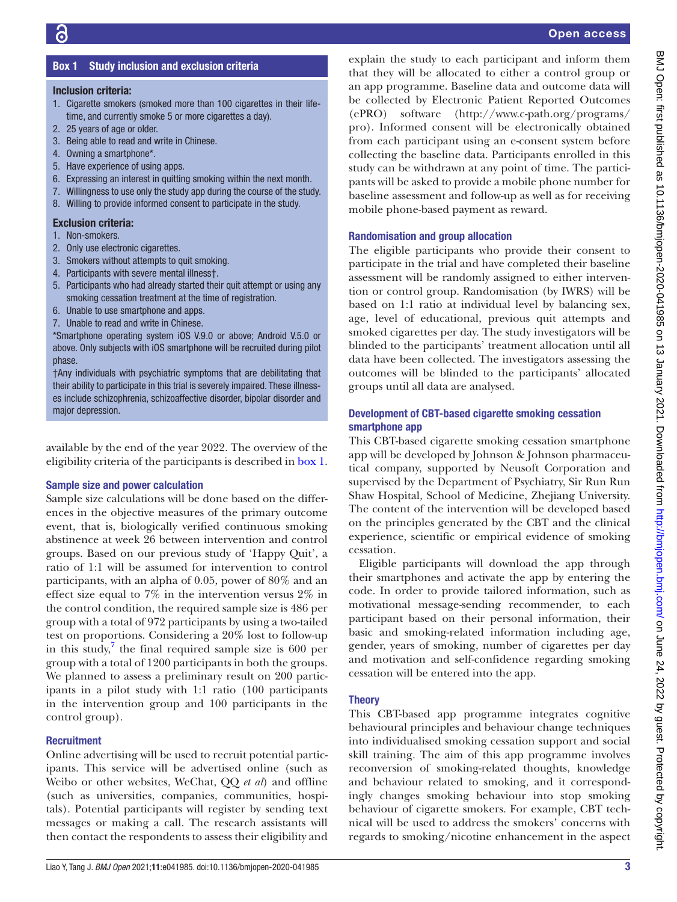# Box 1 Study inclusion and exclusion criteria

#### <span id="page-2-0"></span>Inclusion criteria:

- 1. Cigarette smokers (smoked more than 100 cigarettes in their lifetime, and currently smoke 5 or more cigarettes a day).
- 2. 25 years of age or older.
- 3. Being able to read and write in Chinese.
- 4. Owning a smartphone\*.
- 5. Have experience of using apps.
- 6. Expressing an interest in quitting smoking within the next month.
- 7. Willingness to use only the study app during the course of the study.
- 8. Willing to provide informed consent to participate in the study.

#### Exclusion criteria:

- 1. Non-smokers.
- 2. Only use electronic cigarettes.
- 3. Smokers without attempts to quit smoking.
- 4. Participants with severe mental illness†.
- 5. Participants who had already started their quit attempt or using any smoking cessation treatment at the time of registration.
- 6. Unable to use smartphone and apps.
- 7. Unable to read and write in Chinese.

\*Smartphone operating system iOS V.9.0 or above; Android V.5.0 or above. Only subjects with iOS smartphone will be recruited during pilot phase.

†Any individuals with psychiatric symptoms that are debilitating that their ability to participate in this trial is severely impaired. These illnesses include schizophrenia, schizoaffective disorder, bipolar disorder and major depression.

available by the end of the year 2022. The overview of the eligibility criteria of the participants is described in [box](#page-2-0) 1.

#### Sample size and power calculation

Sample size calculations will be done based on the differences in the objective measures of the primary outcome event, that is, biologically verified continuous smoking abstinence at week 26 between intervention and control groups. Based on our previous study of 'Happy Quit', a ratio of 1:1 will be assumed for intervention to control participants, with an alpha of 0.05, power of 80% and an effect size equal to 7% in the intervention versus 2% in the control condition, the required sample size is 486 per group with a total of 972 participants by using a two-tailed test on proportions. Considering a 20% lost to follow-up in this study, $7$  the final required sample size is 600 per group with a total of 1200 participants in both the groups. We planned to assess a preliminary result on 200 participants in a pilot study with 1:1 ratio (100 participants in the intervention group and 100 participants in the control group).

#### **Recruitment**

Online advertising will be used to recruit potential participants. This service will be advertised online (such as Weibo or other websites, WeChat, QQ *et al*) and offline (such as universities, companies, communities, hospitals). Potential participants will register by sending text messages or making a call. The research assistants will then contact the respondents to assess their eligibility and

explain the study to each participant and inform them that they will be allocated to either a control group or an app programme. Baseline data and outcome data will be collected by Electronic Patient Reported Outcomes (ePRO) software ([http://www.c-path.org/programs/](http://www.c-path.org/programs/pro) [pro](http://www.c-path.org/programs/pro)). Informed consent will be electronically obtained from each participant using an e-consent system before collecting the baseline data. Participants enrolled in this study can be withdrawn at any point of time. The participants will be asked to provide a mobile phone number for baseline assessment and follow-up as well as for receiving mobile phone-based payment as reward.

#### Randomisation and group allocation

The eligible participants who provide their consent to participate in the trial and have completed their baseline assessment will be randomly assigned to either intervention or control group. Randomisation (by IWRS) will be based on 1:1 ratio at individual level by balancing sex, age, level of educational, previous quit attempts and smoked cigarettes per day. The study investigators will be blinded to the participants' treatment allocation until all data have been collected. The investigators assessing the outcomes will be blinded to the participants' allocated groups until all data are analysed.

# Development of CBT-based cigarette smoking cessation smartphone app

This CBT-based cigarette smoking cessation smartphone app will be developed by Johnson & Johnson pharmaceutical company, supported by Neusoft Corporation and supervised by the Department of Psychiatry, Sir Run Run Shaw Hospital, School of Medicine, Zhejiang University. The content of the intervention will be developed based on the principles generated by the CBT and the clinical experience, scientific or empirical evidence of smoking cessation.

Eligible participants will download the app through their smartphones and activate the app by entering the code. In order to provide tailored information, such as motivational message-sending recommender, to each participant based on their personal information, their basic and smoking-related information including age, gender, years of smoking, number of cigarettes per day and motivation and self-confidence regarding smoking cessation will be entered into the app.

# **Theory**

This CBT-based app programme integrates cognitive behavioural principles and behaviour change techniques into individualised smoking cessation support and social skill training. The aim of this app programme involves reconversion of smoking-related thoughts, knowledge and behaviour related to smoking, and it correspondingly changes smoking behaviour into stop smoking behaviour of cigarette smokers. For example, CBT technical will be used to address the smokers' concerns with regards to smoking/nicotine enhancement in the aspect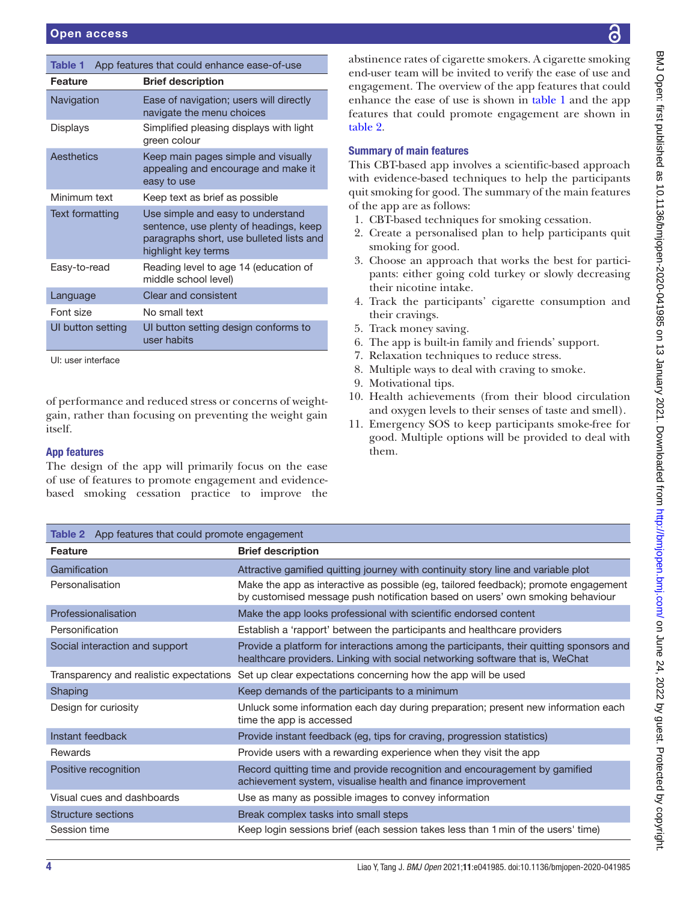<span id="page-3-0"></span>

| App features that could enhance ease-of-use<br><b>Table 1</b> |                                                                                                                                                |  |  |  |
|---------------------------------------------------------------|------------------------------------------------------------------------------------------------------------------------------------------------|--|--|--|
| Feature                                                       | <b>Brief description</b>                                                                                                                       |  |  |  |
| Navigation                                                    | Ease of navigation; users will directly<br>navigate the menu choices                                                                           |  |  |  |
| Displays                                                      | Simplified pleasing displays with light<br>green colour                                                                                        |  |  |  |
| Aesthetics                                                    | Keep main pages simple and visually<br>appealing and encourage and make it<br>easy to use                                                      |  |  |  |
| Minimum text                                                  | Keep text as brief as possible                                                                                                                 |  |  |  |
| Text formatting                                               | Use simple and easy to understand<br>sentence, use plenty of headings, keep<br>paragraphs short, use bulleted lists and<br>highlight key terms |  |  |  |
| Easy-to-read                                                  | Reading level to age 14 (education of<br>middle school level)                                                                                  |  |  |  |
| Language                                                      | Clear and consistent                                                                                                                           |  |  |  |
| Font size                                                     | No small text                                                                                                                                  |  |  |  |
| UI button setting                                             | UI button setting design conforms to<br>user habits                                                                                            |  |  |  |
| UI: user interface                                            |                                                                                                                                                |  |  |  |

of performance and reduced stress or concerns of weightgain, rather than focusing on preventing the weight gain itself.

#### App features

The design of the app will primarily focus on the ease of use of features to promote engagement and evidencebased smoking cessation practice to improve the abstinence rates of cigarette smokers. A cigarette smoking end-user team will be invited to verify the ease of use and engagement. The overview of the app features that could enhance the ease of use is shown in [table](#page-3-0) 1 and the app features that could promote engagement are shown in [table](#page-3-1) 2.

# Summary of main features

This CBT-based app involves a scientific-based approach with evidence-based techniques to help the participants quit smoking for good. The summary of the main features of the app are as follows:

- 1. CBT-based techniques for smoking cessation.
- 2. Create a personalised plan to help participants quit smoking for good.
- 3. Choose an approach that works the best for participants: either going cold turkey or slowly decreasing their nicotine intake.
- 4. Track the participants' cigarette consumption and their cravings.
- 5. Track money saving.
- 6. The app is built-in family and friends' support.
- 7. Relaxation techniques to reduce stress.
- 8. Multiple ways to deal with craving to smoke.
- 9. Motivational tips.
- 10. Health achievements (from their blood circulation and oxygen levels to their senses of taste and smell).
- 11. Emergency SOS to keep participants smoke-free for good. Multiple options will be provided to deal with them.

<span id="page-3-1"></span>

| <b>Table 2</b> App features that could promote engagement |                                                                                                                                                                          |  |  |  |
|-----------------------------------------------------------|--------------------------------------------------------------------------------------------------------------------------------------------------------------------------|--|--|--|
| <b>Feature</b>                                            | <b>Brief description</b>                                                                                                                                                 |  |  |  |
| Gamification                                              | Attractive gamified quitting journey with continuity story line and variable plot                                                                                        |  |  |  |
| Personalisation                                           | Make the app as interactive as possible (eg, tailored feedback); promote engagement<br>by customised message push notification based on users' own smoking behaviour     |  |  |  |
| Professionalisation                                       | Make the app looks professional with scientific endorsed content                                                                                                         |  |  |  |
| Personification                                           | Establish a 'rapport' between the participants and healthcare providers                                                                                                  |  |  |  |
| Social interaction and support                            | Provide a platform for interactions among the participants, their quitting sponsors and<br>healthcare providers. Linking with social networking software that is, WeChat |  |  |  |
|                                                           | Transparency and realistic expectations Set up clear expectations concerning how the app will be used                                                                    |  |  |  |
| Shaping                                                   | Keep demands of the participants to a minimum                                                                                                                            |  |  |  |
| Design for curiosity                                      | Unluck some information each day during preparation; present new information each<br>time the app is accessed                                                            |  |  |  |
| Instant feedback                                          | Provide instant feedback (eg, tips for craving, progression statistics)                                                                                                  |  |  |  |
| Rewards                                                   | Provide users with a rewarding experience when they visit the app                                                                                                        |  |  |  |
| Positive recognition                                      | Record quitting time and provide recognition and encouragement by gamified<br>achievement system, visualise health and finance improvement                               |  |  |  |
| Visual cues and dashboards                                | Use as many as possible images to convey information                                                                                                                     |  |  |  |
| <b>Structure sections</b>                                 | Break complex tasks into small steps                                                                                                                                     |  |  |  |
| Session time                                              | Keep login sessions brief (each session takes less than 1 min of the users' time)                                                                                        |  |  |  |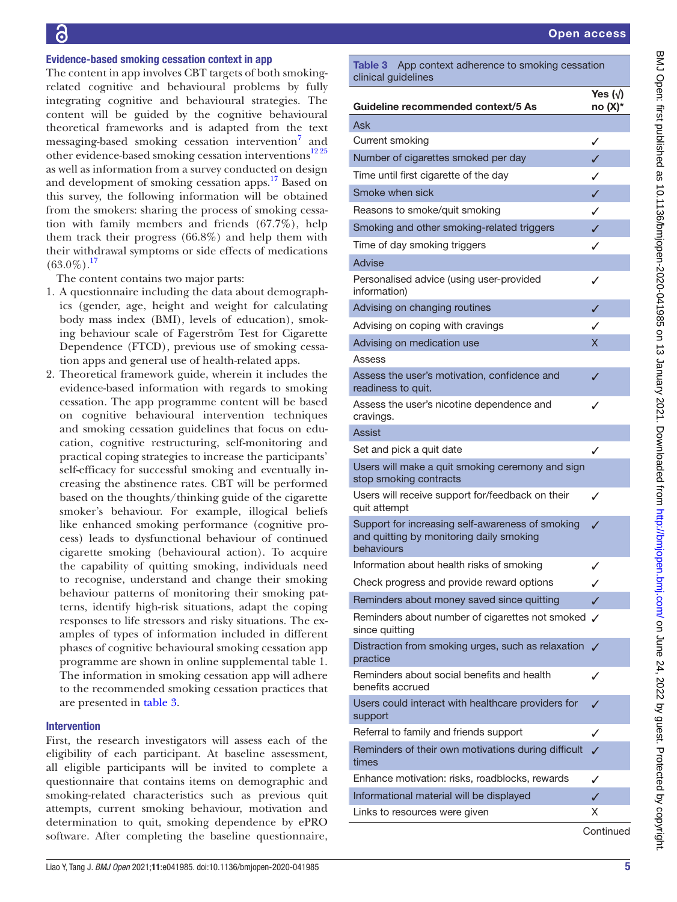### Evidence-based smoking cessation context in app

The content in app involves CBT targets of both smokingrelated cognitive and behavioural problems by fully integrating cognitive and behavioural strategies. The content will be guided by the cognitive behavioural theoretical frameworks and is adapted from the text messaging-based smoking cessation intervention<sup>[7](#page-10-3)</sup> and other evidence-based smoking cessation interventions<sup>1225</sup> as well as information from a survey conducted on design and development of smoking cessation apps.<sup>17</sup> Based on this survey, the following information will be obtained from the smokers: sharing the process of smoking cessation with family members and friends (67.7%), help them track their progress (66.8%) and help them with their withdrawal symptoms or side effects of medications  $(63.0\%)$ <sup>17</sup>

The content contains two major parts:

- 1. A questionnaire including the data about demographics (gender, age, height and weight for calculating body mass index (BMI), levels of education), smoking behaviour scale of Fagerström Test for Cigarette Dependence (FTCD), previous use of smoking cessation apps and general use of health-related apps.
- 2. Theoretical framework guide, wherein it includes the evidence-based information with regards to smoking cessation. The app programme content will be based on cognitive behavioural intervention techniques and smoking cessation guidelines that focus on education, cognitive restructuring, self-monitoring and practical coping strategies to increase the participants' self-efficacy for successful smoking and eventually increasing the abstinence rates. CBT will be performed based on the thoughts/thinking guide of the cigarette smoker's behaviour. For example, illogical beliefs like enhanced smoking performance (cognitive process) leads to dysfunctional behaviour of continued cigarette smoking (behavioural action). To acquire the capability of quitting smoking, individuals need to recognise, understand and change their smoking behaviour patterns of monitoring their smoking patterns, identify high-risk situations, adapt the coping responses to life stressors and risky situations. The examples of types of information included in different phases of cognitive behavioural smoking cessation app programme are shown in [online supplemental table 1.](https://dx.doi.org/10.1136/bmjopen-2020-041985) The information in smoking cessation app will adhere to the recommended smoking cessation practices that are presented in [table](#page-4-0) 3.

#### Intervention

First, the research investigators will assess each of the eligibility of each participant. At baseline assessment, all eligible participants will be invited to complete a questionnaire that contains items on demographic and smoking-related characteristics such as previous quit attempts, current smoking behaviour, motivation and determination to quit, smoking dependence by ePRO software. After completing the baseline questionnaire,

<span id="page-4-0"></span>Table 3 App context adherence to smoking cessation clinical guidelines

| Guideline recommended context/5 As                                                                         | Yes $(\sqrt)$<br>$no(X)*$ |
|------------------------------------------------------------------------------------------------------------|---------------------------|
| Ask                                                                                                        |                           |
| Current smoking                                                                                            | ✓                         |
| Number of cigarettes smoked per day                                                                        | ✓                         |
| Time until first cigarette of the day                                                                      | ✓                         |
| Smoke when sick                                                                                            | ✓                         |
| Reasons to smoke/quit smoking                                                                              | ✓                         |
| Smoking and other smoking-related triggers                                                                 | ✓                         |
| Time of day smoking triggers                                                                               | ✓                         |
| <b>Advise</b>                                                                                              |                           |
| Personalised advice (using user-provided<br>information)                                                   | ✓                         |
| Advising on changing routines                                                                              | ✓                         |
| Advising on coping with cravings                                                                           | ✓                         |
| Advising on medication use                                                                                 | x                         |
| Assess                                                                                                     |                           |
| Assess the user's motivation, confidence and<br>readiness to quit.                                         | ✓                         |
| Assess the user's nicotine dependence and<br>cravings.                                                     | ✓                         |
| Assist                                                                                                     |                           |
| Set and pick a quit date                                                                                   | ✓                         |
| Users will make a quit smoking ceremony and sign<br>stop smoking contracts                                 |                           |
| Users will receive support for/feedback on their<br>quit attempt                                           | ✓                         |
| Support for increasing self-awareness of smoking<br>and quitting by monitoring daily smoking<br>behaviours | J                         |
| Information about health risks of smoking                                                                  | ✓                         |
| Check progress and provide reward options                                                                  | ✓                         |
| Reminders about money saved since quitting                                                                 |                           |
| Reminders about number of cigarettes not smoked √<br>since quitting                                        |                           |
| Distraction from smoking urges, such as relaxation V<br>practice                                           |                           |
| Reminders about social benefits and health<br>benefits accrued                                             | ✓                         |
| Users could interact with healthcare providers for<br>support                                              |                           |
| Referral to family and friends support                                                                     | ✓                         |
| Reminders of their own motivations during difficult<br>times                                               | J                         |
| Enhance motivation: risks, roadblocks, rewards                                                             | ✓                         |
| Informational material will be displayed                                                                   | J                         |
| Links to resources were given                                                                              | х                         |
|                                                                                                            |                           |

**Continued**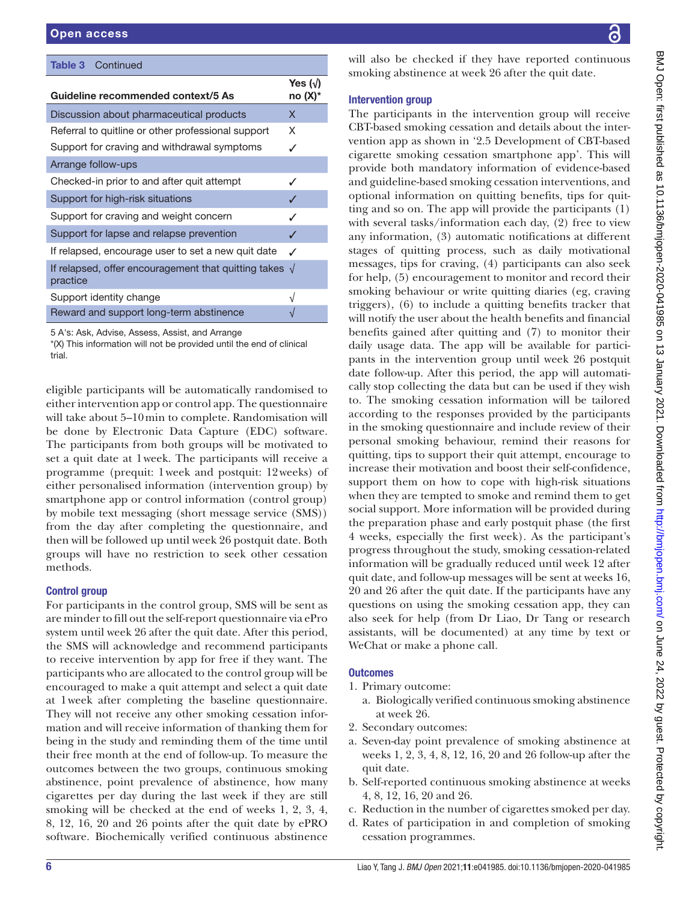| <b>Table 3</b> Continued                                         |                               |
|------------------------------------------------------------------|-------------------------------|
| Guideline recommended context/5 As                               | Yes $(\sqrt{})$<br>no $(X)^*$ |
| Discussion about pharmaceutical products                         | X                             |
| Referral to quitline or other professional support               | X                             |
| Support for craving and withdrawal symptoms                      | ✓                             |
| Arrange follow-ups                                               |                               |
| Checked-in prior to and after quit attempt                       | ✓                             |
| Support for high-risk situations                                 |                               |
| Support for craving and weight concern                           | ✓                             |
| Support for lapse and relapse prevention                         | J                             |
| If relapsed, encourage user to set a new quit date               | ℐ                             |
| If relapsed, offer encouragement that quitting takes<br>practice | $\sqrt{ }$                    |
| Support identity change                                          | $\sqrt{ }$                    |
| Reward and support long-term abstinence                          |                               |

5 A's: Ask, Advise, Assess, Assist, and Arrange

\*(X) This information will not be provided until the end of clinical trial.

eligible participants will be automatically randomised to either intervention app or control app. The questionnaire will take about 5–10min to complete. Randomisation will be done by Electronic Data Capture (EDC) software. The participants from both groups will be motivated to set a quit date at 1week. The participants will receive a programme (prequit: 1week and postquit: 12weeks) of either personalised information (intervention group) by smartphone app or control information (control group) by mobile text messaging (short message service (SMS)) from the day after completing the questionnaire, and then will be followed up until week 26 postquit date. Both groups will have no restriction to seek other cessation methods.

# Control group

For participants in the control group, SMS will be sent as are minder to fill out the self-report questionnaire via ePro system until week 26 after the quit date. After this period, the SMS will acknowledge and recommend participants to receive intervention by app for free if they want. The participants who are allocated to the control group will be encouraged to make a quit attempt and select a quit date at 1week after completing the baseline questionnaire. They will not receive any other smoking cessation information and will receive information of thanking them for being in the study and reminding them of the time until their free month at the end of follow-up. To measure the outcomes between the two groups, continuous smoking abstinence, point prevalence of abstinence, how many cigarettes per day during the last week if they are still smoking will be checked at the end of weeks 1, 2, 3, 4, 8, 12, 16, 20 and 26 points after the quit date by ePRO software. Biochemically verified continuous abstinence

will also be checked if they have reported continuous smoking abstinence at week 26 after the quit date.

# Intervention group

The participants in the intervention group will receive CBT-based smoking cessation and details about the intervention app as shown in '2.5 Development of CBT-based cigarette smoking cessation smartphone app'. This will provide both mandatory information of evidence-based and guideline-based smoking cessation interventions, and optional information on quitting benefits, tips for quitting and so on. The app will provide the participants (1) with several tasks/information each day, (2) free to view any information, (3) automatic notifications at different stages of quitting process, such as daily motivational messages, tips for craving, (4) participants can also seek for help, (5) encouragement to monitor and record their smoking behaviour or write quitting diaries (eg, craving triggers), (6) to include a quitting benefits tracker that will notify the user about the health benefits and financial benefits gained after quitting and (7) to monitor their daily usage data. The app will be available for participants in the intervention group until week 26 postquit date follow-up. After this period, the app will automatically stop collecting the data but can be used if they wish to. The smoking cessation information will be tailored according to the responses provided by the participants in the smoking questionnaire and include review of their personal smoking behaviour, remind their reasons for quitting, tips to support their quit attempt, encourage to increase their motivation and boost their self-confidence, support them on how to cope with high-risk situations when they are tempted to smoke and remind them to get social support. More information will be provided during the preparation phase and early postquit phase (the first 4 weeks, especially the first week). As the participant's progress throughout the study, smoking cessation-related information will be gradually reduced until week 12 after quit date, and follow-up messages will be sent at weeks 16, 20 and 26 after the quit date. If the participants have any questions on using the smoking cessation app, they can also seek for help (from Dr Liao, Dr Tang or research assistants, will be documented) at any time by text or WeChat or make a phone call.

# **Outcomes**

- 1. Primary outcome:
	- a. Biologically verified continuous smoking abstinence at week 26.
- 2. Secondary outcomes:
- a. Seven-day point prevalence of smoking abstinence at weeks 1, 2, 3, 4, 8, 12, 16, 20 and 26 follow-up after the quit date.
- b. Self-reported continuous smoking abstinence at weeks 4, 8, 12, 16, 20 and 26.
- c. Reduction in the number of cigarettes smoked per day.
- d. Rates of participation in and completion of smoking cessation programmes.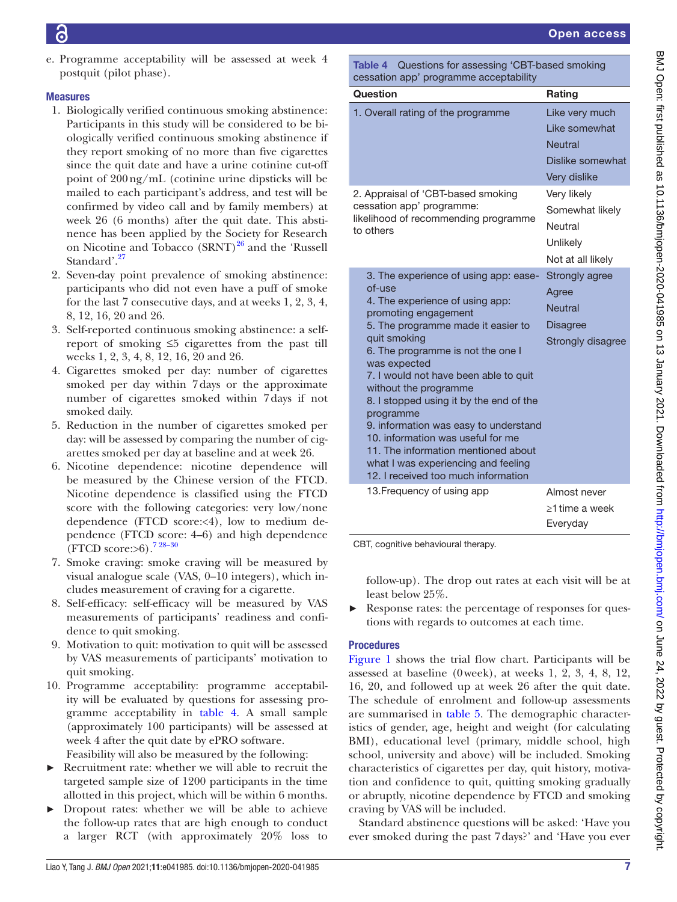e. Programme acceptability will be assessed at week 4 postquit (pilot phase).

# Measures

- 1. Biologically verified continuous smoking abstinence: Participants in this study will be considered to be biologically verified continuous smoking abstinence if they report smoking of no more than five cigarettes since the quit date and have a urine cotinine cut-off point of 200ng/mL (cotinine urine dipsticks will be mailed to each participant's address, and test will be confirmed by video call and by family members) at week 26 (6 months) after the quit date. This abstinence has been applied by the Society for Research on Nicotine and Tobacco  $(SRNT)^{26}$  and the 'Russell Standard'.<sup>[27](#page-10-18)</sup>
- 2. Seven-day point prevalence of smoking abstinence: participants who did not even have a puff of smoke for the last 7 consecutive days, and at weeks 1, 2, 3, 4, 8, 12, 16, 20 and 26.
- 3. Self-reported continuous smoking abstinence: a selfreport of smoking ≤5 cigarettes from the past till weeks 1, 2, 3, 4, 8, 12, 16, 20 and 26.
- 4. Cigarettes smoked per day: number of cigarettes smoked per day within 7days or the approximate number of cigarettes smoked within 7days if not smoked daily.
- 5. Reduction in the number of cigarettes smoked per day: will be assessed by comparing the number of cigarettes smoked per day at baseline and at week 26.
- 6. Nicotine dependence: nicotine dependence will be measured by the Chinese version of the FTCD. Nicotine dependence is classified using the FTCD score with the following categories: very low/none dependence (FTCD score:<4), low to medium dependence (FTCD score: 4–6) and high dependence (FTCD score: $>6$ ).<sup>7 28–30</sup>
- 7. Smoke craving: smoke craving will be measured by visual analogue scale (VAS, 0–10 integers), which includes measurement of craving for a cigarette.
- 8. Self-efficacy: self-efficacy will be measured by VAS measurements of participants' readiness and confidence to quit smoking.
- 9. Motivation to quit: motivation to quit will be assessed by VAS measurements of participants' motivation to quit smoking.
- 10. Programme acceptability: programme acceptability will be evaluated by questions for assessing programme acceptability in [table](#page-6-0) 4. A small sample (approximately 100 participants) will be assessed at week 4 after the quit date by ePRO software.
	- Feasibility will also be measured by the following:
- Recruitment rate: whether we will able to recruit the targeted sample size of 1200 participants in the time allotted in this project, which will be within 6 months.
- ► Dropout rates: whether we will be able to achieve the follow-up rates that are high enough to conduct a larger RCT (with approximately 20% loss to

<span id="page-6-0"></span>Table 4 Questions for assessing 'CBT-based smoking cessation app' programme acceptability

| Question                                                                                                                                                                                                                                                                                                                                                                                                                                                                                                                                           | Rating                                                                                |
|----------------------------------------------------------------------------------------------------------------------------------------------------------------------------------------------------------------------------------------------------------------------------------------------------------------------------------------------------------------------------------------------------------------------------------------------------------------------------------------------------------------------------------------------------|---------------------------------------------------------------------------------------|
| 1. Overall rating of the programme                                                                                                                                                                                                                                                                                                                                                                                                                                                                                                                 | Like very much<br>Like somewhat<br><b>Neutral</b><br>Dislike somewhat<br>Very dislike |
| 2. Appraisal of 'CBT-based smoking<br>cessation app' programme:<br>likelihood of recommending programme<br>to others                                                                                                                                                                                                                                                                                                                                                                                                                               | Very likely<br>Somewhat likely<br>Neutral<br>Unlikely<br>Not at all likely            |
| 3. The experience of using app: ease-<br>of-use<br>4. The experience of using app:<br>promoting engagement<br>5. The programme made it easier to<br>quit smoking<br>6. The programme is not the one I<br>was expected<br>7. I would not have been able to quit<br>without the programme<br>8. I stopped using it by the end of the<br>programme<br>9. information was easy to understand<br>10. information was useful for me<br>11. The information mentioned about<br>what I was experiencing and feeling<br>12. I received too much information | Strongly agree<br>Agree<br><b>Neutral</b><br><b>Disagree</b><br>Strongly disagree     |
| 13. Frequency of using app                                                                                                                                                                                                                                                                                                                                                                                                                                                                                                                         | Almost never<br>≥1 time a week<br>Everyday                                            |

CBT, cognitive behavioural therapy.

follow-up). The drop out rates at each visit will be at least below 25%.

► Response rates: the percentage of responses for questions with regards to outcomes at each time.

# **Procedures**

[Figure](#page-7-0) 1 shows the trial flow chart. Participants will be assessed at baseline (0week), at weeks 1, 2, 3, 4, 8, 12, 16, 20, and followed up at week 26 after the quit date. The schedule of enrolment and follow-up assessments are summarised in [table](#page-8-0) 5. The demographic characteristics of gender, age, height and weight (for calculating BMI), educational level (primary, middle school, high school, university and above) will be included. Smoking characteristics of cigarettes per day, quit history, motivation and confidence to quit, quitting smoking gradually or abruptly, nicotine dependence by FTCD and smoking craving by VAS will be included.

Standard abstinence questions will be asked: 'Have you ever smoked during the past 7days?' and 'Have you ever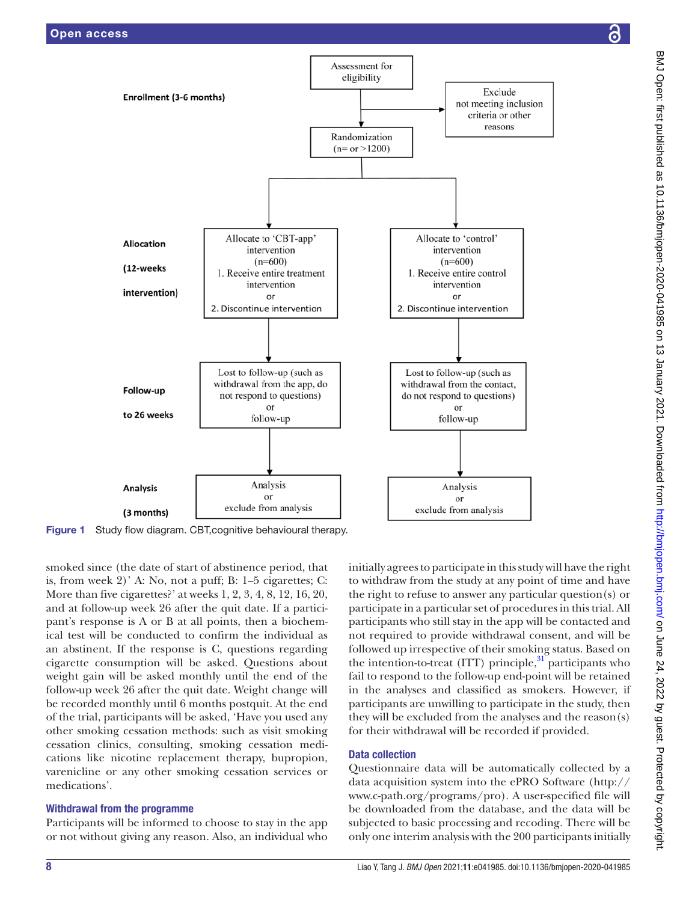

<span id="page-7-0"></span>Figure 1 Study flow diagram. CBT, cognitive behavioural therapy.

smoked since (the date of start of abstinence period, that is, from week 2)' A: No, not a puff; B: 1–5 cigarettes; C: More than five cigarettes?' at weeks 1, 2, 3, 4, 8, 12, 16, 20, and at follow-up week 26 after the quit date. If a participant's response is A or B at all points, then a biochemical test will be conducted to confirm the individual as an abstinent. If the response is C, questions regarding cigarette consumption will be asked. Questions about weight gain will be asked monthly until the end of the follow-up week 26 after the quit date. Weight change will be recorded monthly until 6 months postquit. At the end of the trial, participants will be asked, 'Have you used any other smoking cessation methods: such as visit smoking cessation clinics, consulting, smoking cessation medications like nicotine replacement therapy, bupropion, varenicline or any other smoking cessation services or medications'.

#### Withdrawal from the programme

Participants will be informed to choose to stay in the app or not without giving any reason. Also, an individual who

initially agrees to participate in this study will have the right to withdraw from the study at any point of time and have the right to refuse to answer any particular question(s) or participate in a particular set of procedures in this trial. All participants who still stay in the app will be contacted and not required to provide withdrawal consent, and will be followed up irrespective of their smoking status. Based on the intention-to-treat (ITT) principle, $31$  participants who fail to respond to the follow-up end-point will be retained in the analyses and classified as smokers. However, if participants are unwilling to participate in the study, then they will be excluded from the analyses and the reason(s) for their withdrawal will be recorded if provided.

# Data collection

Questionnaire data will be automatically collected by a data acquisition system into the ePRO Software [\(http://](http://www.c-path.org/programs/pro) [www.c-path.org/programs/pro\)](http://www.c-path.org/programs/pro). A user-specified file will be downloaded from the database, and the data will be subjected to basic processing and recoding. There will be only one interim analysis with the 200 participants initially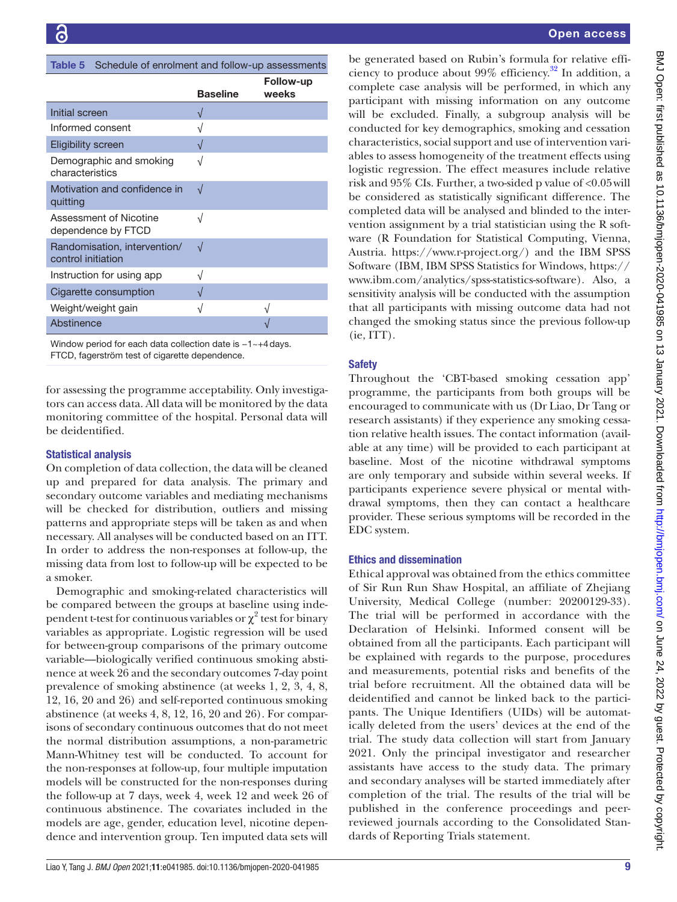<span id="page-8-0"></span>

| Table 5 Schedule of enrolment and follow-up assessments |
|---------------------------------------------------------|
| <b>Eollow-up</b>                                        |

|                                                    |                 | Follow-up |
|----------------------------------------------------|-----------------|-----------|
|                                                    | <b>Baseline</b> | weeks     |
| Initial screen                                     | $\sqrt{ }$      |           |
| Informed consent                                   | $\sqrt{}$       |           |
| <b>Eligibility screen</b>                          | N               |           |
| Demographic and smoking<br>characteristics         | $\sqrt{}$       |           |
| Motivation and confidence in<br>quitting           | $\sqrt{ }$      |           |
| Assessment of Nicotine<br>dependence by FTCD       | $\sqrt{}$       |           |
| Randomisation, intervention/<br>control initiation | $\sqrt{ }$      |           |
| Instruction for using app                          | V               |           |
| Cigarette consumption                              |                 |           |
| Weight/weight gain                                 | V               |           |
| Abstinence                                         |                 |           |
|                                                    |                 |           |

Window period for each data collection date is -1~+4 days. FTCD, fagerström test of cigarette dependence.

for assessing the programme acceptability. Only investigators can access data. All data will be monitored by the data monitoring committee of the hospital. Personal data will be deidentified.

# Statistical analysis

On completion of data collection, the data will be cleaned up and prepared for data analysis. The primary and secondary outcome variables and mediating mechanisms will be checked for distribution, outliers and missing patterns and appropriate steps will be taken as and when necessary. All analyses will be conducted based on an ITT. In order to address the non-responses at follow-up, the missing data from lost to follow-up will be expected to be a smoker.

Demographic and smoking-related characteristics will be compared between the groups at baseline using independent t-test for continuous variables or  $\chi^2$  test for binary variables as appropriate. Logistic regression will be used for between-group comparisons of the primary outcome variable—biologically verified continuous smoking abstinence at week 26 and the secondary outcomes 7-day point prevalence of smoking abstinence (at weeks 1, 2, 3, 4, 8, 12, 16, 20 and 26) and self-reported continuous smoking abstinence (at weeks 4, 8, 12, 16, 20 and 26). For comparisons of secondary continuous outcomes that do not meet the normal distribution assumptions, a non-parametric Mann-Whitney test will be conducted. To account for the non-responses at follow-up, four multiple imputation models will be constructed for the non-responses during the follow-up at 7 days, week 4, week 12 and week 26 of continuous abstinence. The covariates included in the models are age, gender, education level, nicotine dependence and intervention group. Ten imputed data sets will

be generated based on Rubin's formula for relative efficiency to produce about  $99\%$  efficiency.<sup>32</sup> In addition, a complete case analysis will be performed, in which any participant with missing information on any outcome will be excluded. Finally, a subgroup analysis will be conducted for key demographics, smoking and cessation characteristics, social support and use of intervention variables to assess homogeneity of the treatment effects using logistic regression. The effect measures include relative risk and 95% CIs. Further, a two-sided p value of <0.05will be considered as statistically significant difference. The completed data will be analysed and blinded to the intervention assignment by a trial statistician using the R software (R Foundation for Statistical Computing, Vienna, Austria. [https://www.r-project.org/\)](https://www.r-project.org/) and the IBM SPSS Software (IBM, IBM SPSS Statistics for Windows, [https://](https://www.ibm.com/analytics/spss-statistics-software) [www.ibm.com/analytics/spss-statistics-software](https://www.ibm.com/analytics/spss-statistics-software)). Also, a sensitivity analysis will be conducted with the assumption that all participants with missing outcome data had not changed the smoking status since the previous follow-up (ie, ITT).

# **Safety**

Throughout the 'CBT-based smoking cessation app' programme, the participants from both groups will be encouraged to communicate with us (Dr Liao, Dr Tang or research assistants) if they experience any smoking cessation relative health issues. The contact information (available at any time) will be provided to each participant at baseline. Most of the nicotine withdrawal symptoms are only temporary and subside within several weeks. If participants experience severe physical or mental withdrawal symptoms, then they can contact a healthcare provider. These serious symptoms will be recorded in the EDC system.

# Ethics and dissemination

Ethical approval was obtained from the ethics committee of Sir Run Run Shaw Hospital, an affiliate of Zhejiang University, Medical College (number: 20200129-33). The trial will be performed in accordance with the Declaration of Helsinki. Informed consent will be obtained from all the participants. Each participant will be explained with regards to the purpose, procedures and measurements, potential risks and benefits of the trial before recruitment. All the obtained data will be deidentified and cannot be linked back to the participants. The Unique Identifiers (UIDs) will be automatically deleted from the users' devices at the end of the trial. The study data collection will start from January 2021. Only the principal investigator and researcher assistants have access to the study data. The primary and secondary analyses will be started immediately after completion of the trial. The results of the trial will be published in the conference proceedings and peerreviewed journals according to the Consolidated Standards of Reporting Trials statement.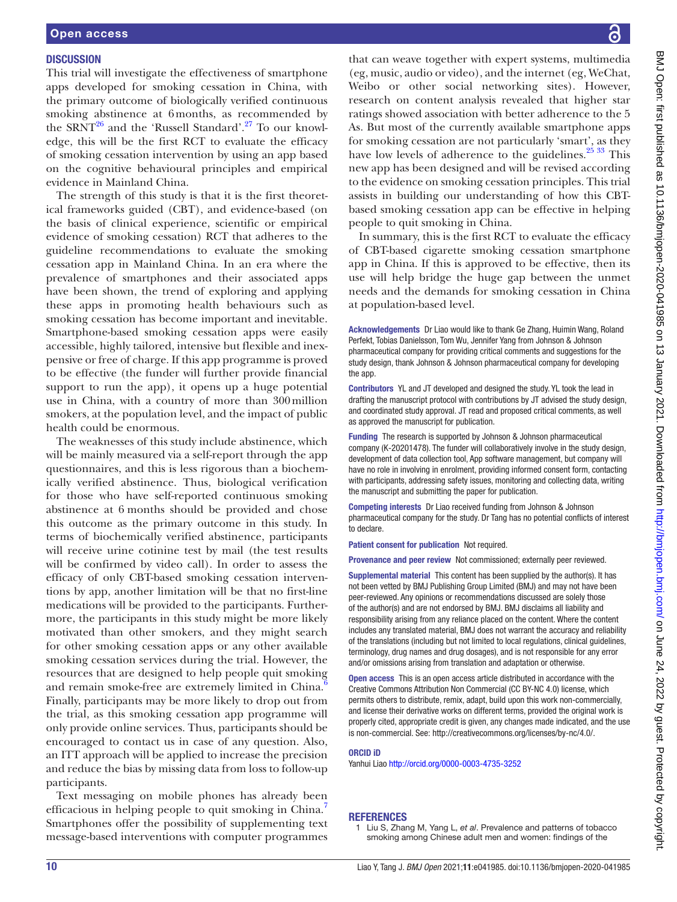#### **DISCUSSION**

This trial will investigate the effectiveness of smartphone apps developed for smoking cessation in China, with the primary outcome of biologically verified continuous smoking abstinence at 6months, as recommended by the SRNT<sup>26</sup> and the 'Russell Standard'.<sup>27</sup> To our knowledge, this will be the first RCT to evaluate the efficacy of smoking cessation intervention by using an app based on the cognitive behavioural principles and empirical evidence in Mainland China.

The strength of this study is that it is the first theoretical frameworks guided (CBT), and evidence-based (on the basis of clinical experience, scientific or empirical evidence of smoking cessation) RCT that adheres to the guideline recommendations to evaluate the smoking cessation app in Mainland China. In an era where the prevalence of smartphones and their associated apps have been shown, the trend of exploring and applying these apps in promoting health behaviours such as smoking cessation has become important and inevitable. Smartphone-based smoking cessation apps were easily accessible, highly tailored, intensive but flexible and inexpensive or free of charge. If this app programme is proved to be effective (the funder will further provide financial support to run the app), it opens up a huge potential use in China, with a country of more than 300million smokers, at the population level, and the impact of public health could be enormous.

The weaknesses of this study include abstinence, which will be mainly measured via a self-report through the app questionnaires, and this is less rigorous than a biochemically verified abstinence. Thus, biological verification for those who have self-reported continuous smoking abstinence at 6 months should be provided and chose this outcome as the primary outcome in this study. In terms of biochemically verified abstinence, participants will receive urine cotinine test by mail (the test results will be confirmed by video call). In order to assess the efficacy of only CBT-based smoking cessation interventions by app, another limitation will be that no first-line medications will be provided to the participants. Furthermore, the participants in this study might be more likely motivated than other smokers, and they might search for other smoking cessation apps or any other available smoking cessation services during the trial. However, the resources that are designed to help people quit smoking and remain smoke-free are extremely limited in China. Finally, participants may be more likely to drop out from the trial, as this smoking cessation app programme will only provide online services. Thus, participants should be encouraged to contact us in case of any question. Also, an ITT approach will be applied to increase the precision and reduce the bias by missing data from loss to follow-up participants.

Text messaging on mobile phones has already been efficacious in helping people to quit smoking in China. Smartphones offer the possibility of supplementing text message-based interventions with computer programmes

BMJ Open: first published as 10.1136/bmjopen-2020-041985 on 13 January 2021. Downloaded from http://bmjopen.bmj.com/ on June 24, 2022 by guest. Protected by copyright BMJ Open: first published as 10.1136/bmjopen-2020-041985 on 13 January 2021. Downloaded from <http://bmjopen.bmj.com/> on June 24, 2022 by guest. Protected by copyright.

that can weave together with expert systems, multimedia (eg, music, audio or video), and the internet (eg, WeChat, Weibo or other social networking sites). However, research on content analysis revealed that higher star ratings showed association with better adherence to the 5 As. But most of the currently available smartphone apps for smoking cessation are not particularly 'smart', as they have low levels of adherence to the guidelines. $2533$  This new app has been designed and will be revised according to the evidence on smoking cessation principles. This trial assists in building our understanding of how this CBTbased smoking cessation app can be effective in helping people to quit smoking in China.

In summary, this is the first RCT to evaluate the efficacy of CBT-based cigarette smoking cessation smartphone app in China. If this is approved to be effective, then its use will help bridge the huge gap between the unmet needs and the demands for smoking cessation in China at population-based level.

Acknowledgements Dr Liao would like to thank Ge Zhang, Huimin Wang, Roland Perfekt, Tobias Danielsson, Tom Wu, Jennifer Yang from Johnson & Johnson pharmaceutical company for providing critical comments and suggestions for the study design, thank Johnson & Johnson pharmaceutical company for developing the app.

Contributors YL and JT developed and designed the study. YL took the lead in drafting the manuscript protocol with contributions by JT advised the study design, and coordinated study approval. JT read and proposed critical comments, as well as approved the manuscript for publication.

Funding The research is supported by Johnson & Johnson pharmaceutical company (K-20201478). The funder will collaboratively involve in the study design, development of data collection tool, App software management, but company will have no role in involving in enrolment, providing informed consent form, contacting with participants, addressing safety issues, monitoring and collecting data, writing the manuscript and submitting the paper for publication.

Competing interests Dr Liao received funding from Johnson & Johnson pharmaceutical company for the study. Dr Tang has no potential conflicts of interest to declare.

Patient consent for publication Not required.

Provenance and peer review Not commissioned; externally peer reviewed.

Supplemental material This content has been supplied by the author(s). It has not been vetted by BMJ Publishing Group Limited (BMJ) and may not have been peer-reviewed. Any opinions or recommendations discussed are solely those of the author(s) and are not endorsed by BMJ. BMJ disclaims all liability and responsibility arising from any reliance placed on the content. Where the content includes any translated material, BMJ does not warrant the accuracy and reliability of the translations (including but not limited to local regulations, clinical guidelines, terminology, drug names and drug dosages), and is not responsible for any error and/or omissions arising from translation and adaptation or otherwise.

Open access This is an open access article distributed in accordance with the Creative Commons Attribution Non Commercial (CC BY-NC 4.0) license, which permits others to distribute, remix, adapt, build upon this work non-commercially, and license their derivative works on different terms, provided the original work is properly cited, appropriate credit is given, any changes made indicated, and the use is non-commercial. See: [http://creativecommons.org/licenses/by-nc/4.0/.](http://creativecommons.org/licenses/by-nc/4.0/)

#### ORCID iD

Yanhui Liao<http://orcid.org/0000-0003-4735-3252>

#### **REFERENCES**

<span id="page-9-0"></span>1 Liu S, Zhang M, Yang L, *et al*. Prevalence and patterns of tobacco smoking among Chinese adult men and women: findings of the